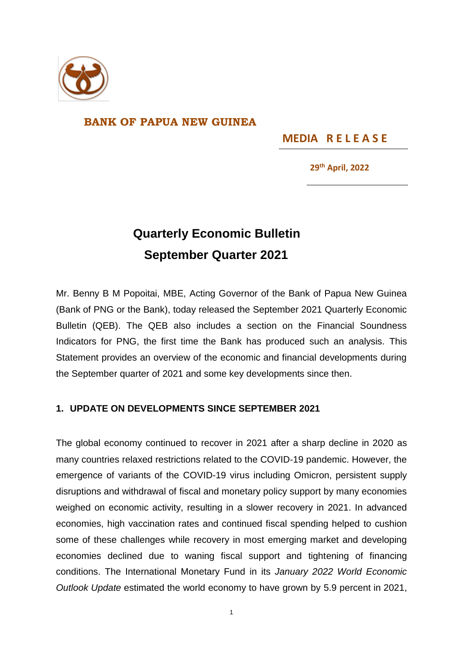

## **BANK OF PAPUA NEW GUINEA**

**MEDIA R E L E A S E** 

**29 th April, 2022**

## **Quarterly Economic Bulletin September Quarter 2021**

Mr. Benny B M Popoitai, MBE, Acting Governor of the Bank of Papua New Guinea (Bank of PNG or the Bank), today released the September 2021 Quarterly Economic Bulletin (QEB). The QEB also includes a section on the Financial Soundness Indicators for PNG, the first time the Bank has produced such an analysis. This Statement provides an overview of the economic and financial developments during the September quarter of 2021 and some key developments since then.

## **1. UPDATE ON DEVELOPMENTS SINCE SEPTEMBER 2021**

The global economy continued to recover in 2021 after a sharp decline in 2020 as many countries relaxed restrictions related to the COVID-19 pandemic. However, the emergence of variants of the COVID-19 virus including Omicron, persistent supply disruptions and withdrawal of fiscal and monetary policy support by many economies weighed on economic activity, resulting in a slower recovery in 2021. In advanced economies, high vaccination rates and continued fiscal spending helped to cushion some of these challenges while recovery in most emerging market and developing economies declined due to waning fiscal support and tightening of financing conditions. The International Monetary Fund in its *January 2022 World Economic Outlook Update* estimated the world economy to have grown by 5.9 percent in 2021,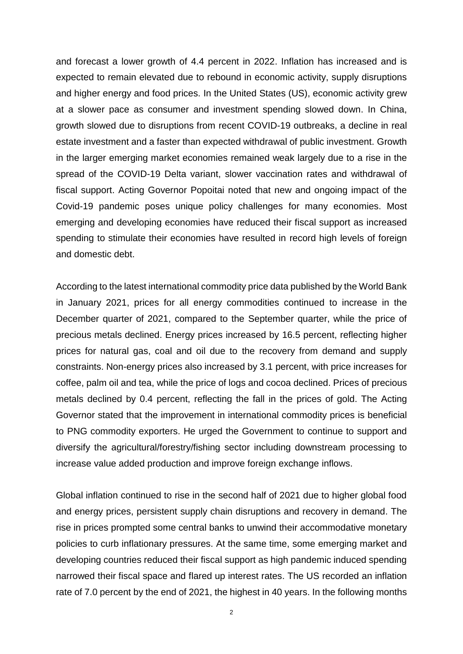and forecast a lower growth of 4.4 percent in 2022. Inflation has increased and is expected to remain elevated due to rebound in economic activity, supply disruptions and higher energy and food prices. In the United States (US), economic activity grew at a slower pace as consumer and investment spending slowed down. In China, growth slowed due to disruptions from recent COVID-19 outbreaks, a decline in real estate investment and a faster than expected withdrawal of public investment. Growth in the larger emerging market economies remained weak largely due to a rise in the spread of the COVID-19 Delta variant, slower vaccination rates and withdrawal of fiscal support. Acting Governor Popoitai noted that new and ongoing impact of the Covid-19 pandemic poses unique policy challenges for many economies. Most emerging and developing economies have reduced their fiscal support as increased spending to stimulate their economies have resulted in record high levels of foreign and domestic debt.

According to the latest international commodity price data published by the World Bank in January 2021, prices for all energy commodities continued to increase in the December quarter of 2021, compared to the September quarter, while the price of precious metals declined. Energy prices increased by 16.5 percent, reflecting higher prices for natural gas, coal and oil due to the recovery from demand and supply constraints. Non-energy prices also increased by 3.1 percent, with price increases for coffee, palm oil and tea, while the price of logs and cocoa declined. Prices of precious metals declined by 0.4 percent, reflecting the fall in the prices of gold. The Acting Governor stated that the improvement in international commodity prices is beneficial to PNG commodity exporters. He urged the Government to continue to support and diversify the agricultural/forestry/fishing sector including downstream processing to increase value added production and improve foreign exchange inflows.

Global inflation continued to rise in the second half of 2021 due to higher global food and energy prices, persistent supply chain disruptions and recovery in demand. The rise in prices prompted some central banks to unwind their accommodative monetary policies to curb inflationary pressures. At the same time, some emerging market and developing countries reduced their fiscal support as high pandemic induced spending narrowed their fiscal space and flared up interest rates. The US recorded an inflation rate of 7.0 percent by the end of 2021, the highest in 40 years. In the following months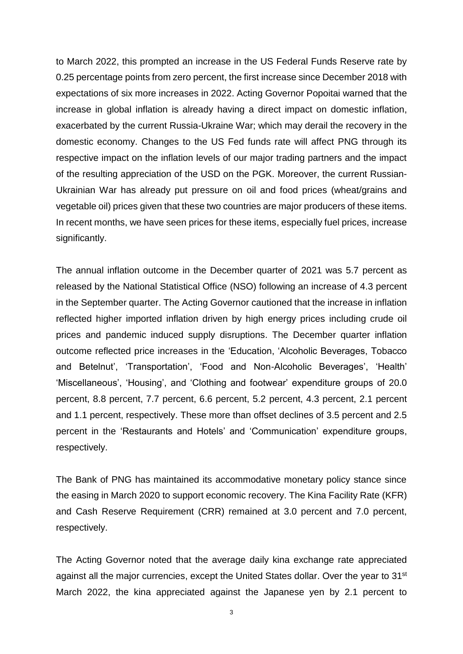to March 2022, this prompted an increase in the US Federal Funds Reserve rate by 0.25 percentage points from zero percent, the first increase since December 2018 with expectations of six more increases in 2022. Acting Governor Popoitai warned that the increase in global inflation is already having a direct impact on domestic inflation, exacerbated by the current Russia-Ukraine War; which may derail the recovery in the domestic economy. Changes to the US Fed funds rate will affect PNG through its respective impact on the inflation levels of our major trading partners and the impact of the resulting appreciation of the USD on the PGK. Moreover, the current Russian-Ukrainian War has already put pressure on oil and food prices (wheat/grains and vegetable oil) prices given that these two countries are major producers of these items. In recent months, we have seen prices for these items, especially fuel prices, increase significantly.

The annual inflation outcome in the December quarter of 2021 was 5.7 percent as released by the National Statistical Office (NSO) following an increase of 4.3 percent in the September quarter. The Acting Governor cautioned that the increase in inflation reflected higher imported inflation driven by high energy prices including crude oil prices and pandemic induced supply disruptions. The December quarter inflation outcome reflected price increases in the 'Education, 'Alcoholic Beverages, Tobacco and Betelnut', 'Transportation', 'Food and Non-Alcoholic Beverages', 'Health' 'Miscellaneous', 'Housing', and 'Clothing and footwear' expenditure groups of 20.0 percent, 8.8 percent, 7.7 percent, 6.6 percent, 5.2 percent, 4.3 percent, 2.1 percent and 1.1 percent, respectively. These more than offset declines of 3.5 percent and 2.5 percent in the 'Restaurants and Hotels' and 'Communication' expenditure groups, respectively.

The Bank of PNG has maintained its accommodative monetary policy stance since the easing in March 2020 to support economic recovery. The Kina Facility Rate (KFR) and Cash Reserve Requirement (CRR) remained at 3.0 percent and 7.0 percent, respectively.

The Acting Governor noted that the average daily kina exchange rate appreciated against all the major currencies, except the United States dollar. Over the year to 31<sup>st</sup> March 2022, the kina appreciated against the Japanese yen by 2.1 percent to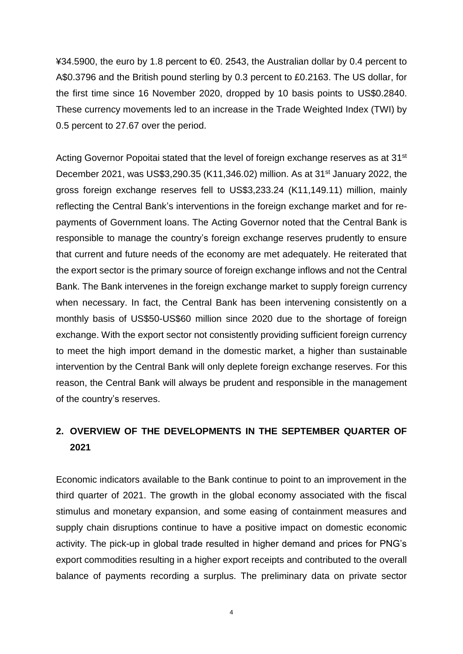¥34.5900, the euro by 1.8 percent to €0. 2543, the Australian dollar by 0.4 percent to A\$0.3796 and the British pound sterling by 0.3 percent to £0.2163. The US dollar, for the first time since 16 November 2020, dropped by 10 basis points to US\$0.2840. These currency movements led to an increase in the Trade Weighted Index (TWI) by 0.5 percent to 27.67 over the period.

Acting Governor Popoitai stated that the level of foreign exchange reserves as at 31<sup>st</sup> December 2021, was US\$3,290.35 (K11,346.02) million. As at 31st January 2022, the gross foreign exchange reserves fell to US\$3,233.24 (K11,149.11) million, mainly reflecting the Central Bank's interventions in the foreign exchange market and for repayments of Government loans. The Acting Governor noted that the Central Bank is responsible to manage the country's foreign exchange reserves prudently to ensure that current and future needs of the economy are met adequately. He reiterated that the export sector is the primary source of foreign exchange inflows and not the Central Bank. The Bank intervenes in the foreign exchange market to supply foreign currency when necessary. In fact, the Central Bank has been intervening consistently on a monthly basis of US\$50-US\$60 million since 2020 due to the shortage of foreign exchange. With the export sector not consistently providing sufficient foreign currency to meet the high import demand in the domestic market, a higher than sustainable intervention by the Central Bank will only deplete foreign exchange reserves. For this reason, the Central Bank will always be prudent and responsible in the management of the country's reserves.

## **2. OVERVIEW OF THE DEVELOPMENTS IN THE SEPTEMBER QUARTER OF 2021**

Economic indicators available to the Bank continue to point to an improvement in the third quarter of 2021. The growth in the global economy associated with the fiscal stimulus and monetary expansion, and some easing of containment measures and supply chain disruptions continue to have a positive impact on domestic economic activity. The pick-up in global trade resulted in higher demand and prices for PNG's export commodities resulting in a higher export receipts and contributed to the overall balance of payments recording a surplus. The preliminary data on private sector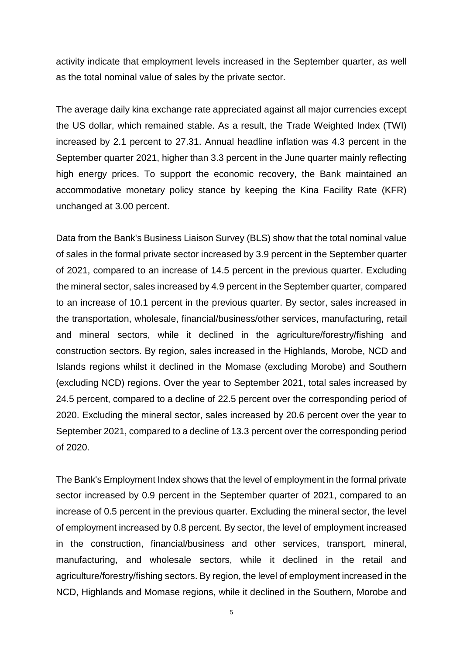activity indicate that employment levels increased in the September quarter, as well as the total nominal value of sales by the private sector.

The average daily kina exchange rate appreciated against all major currencies except the US dollar, which remained stable. As a result, the Trade Weighted Index (TWI) increased by 2.1 percent to 27.31. Annual headline inflation was 4.3 percent in the September quarter 2021, higher than 3.3 percent in the June quarter mainly reflecting high energy prices. To support the economic recovery, the Bank maintained an accommodative monetary policy stance by keeping the Kina Facility Rate (KFR) unchanged at 3.00 percent.

Data from the Bank's Business Liaison Survey (BLS) show that the total nominal value of sales in the formal private sector increased by 3.9 percent in the September quarter of 2021, compared to an increase of 14.5 percent in the previous quarter. Excluding the mineral sector, sales increased by 4.9 percent in the September quarter, compared to an increase of 10.1 percent in the previous quarter. By sector, sales increased in the transportation, wholesale, financial/business/other services, manufacturing, retail and mineral sectors, while it declined in the agriculture/forestry/fishing and construction sectors. By region, sales increased in the Highlands, Morobe, NCD and Islands regions whilst it declined in the Momase (excluding Morobe) and Southern (excluding NCD) regions. Over the year to September 2021, total sales increased by 24.5 percent, compared to a decline of 22.5 percent over the corresponding period of 2020. Excluding the mineral sector, sales increased by 20.6 percent over the year to September 2021, compared to a decline of 13.3 percent over the corresponding period of 2020.

The Bank's Employment Index shows that the level of employment in the formal private sector increased by 0.9 percent in the September quarter of 2021, compared to an increase of 0.5 percent in the previous quarter. Excluding the mineral sector, the level of employment increased by 0.8 percent. By sector, the level of employment increased in the construction, financial/business and other services, transport, mineral, manufacturing, and wholesale sectors, while it declined in the retail and agriculture/forestry/fishing sectors. By region, the level of employment increased in the NCD, Highlands and Momase regions, while it declined in the Southern, Morobe and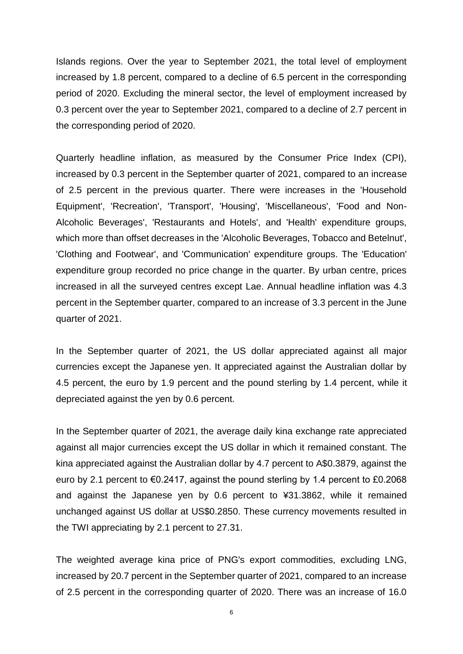Islands regions. Over the year to September 2021, the total level of employment increased by 1.8 percent, compared to a decline of 6.5 percent in the corresponding period of 2020. Excluding the mineral sector, the level of employment increased by 0.3 percent over the year to September 2021, compared to a decline of 2.7 percent in the corresponding period of 2020.

Quarterly headline inflation, as measured by the Consumer Price Index (CPI), increased by 0.3 percent in the September quarter of 2021, compared to an increase of 2.5 percent in the previous quarter. There were increases in the 'Household Equipment', 'Recreation', 'Transport', 'Housing', 'Miscellaneous', 'Food and Non-Alcoholic Beverages', 'Restaurants and Hotels', and 'Health' expenditure groups, which more than offset decreases in the 'Alcoholic Beverages, Tobacco and Betelnut', 'Clothing and Footwear', and 'Communication' expenditure groups. The 'Education' expenditure group recorded no price change in the quarter. By urban centre, prices increased in all the surveyed centres except Lae. Annual headline inflation was 4.3 percent in the September quarter, compared to an increase of 3.3 percent in the June quarter of 2021.

In the September quarter of 2021, the US dollar appreciated against all major currencies except the Japanese yen. It appreciated against the Australian dollar by 4.5 percent, the euro by 1.9 percent and the pound sterling by 1.4 percent, while it depreciated against the yen by 0.6 percent.

In the September quarter of 2021, the average daily kina exchange rate appreciated against all major currencies except the US dollar in which it remained constant. The kina appreciated against the Australian dollar by 4.7 percent to A\$0.3879, against the euro by 2.1 percent to  $\epsilon$ 0.2417, against the pound sterling by 1.4 percent to £0.2068 and against the Japanese yen by 0.6 percent to ¥31.3862, while it remained unchanged against US dollar at US\$0.2850. These currency movements resulted in the TWI appreciating by 2.1 percent to 27.31.

The weighted average kina price of PNG's export commodities, excluding LNG, increased by 20.7 percent in the September quarter of 2021, compared to an increase of 2.5 percent in the corresponding quarter of 2020. There was an increase of 16.0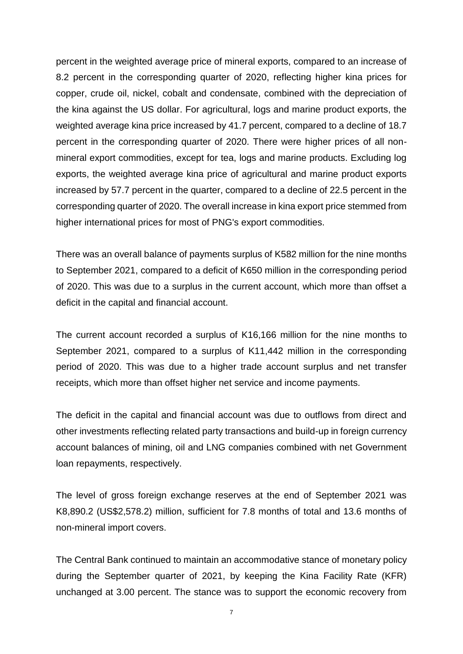percent in the weighted average price of mineral exports, compared to an increase of 8.2 percent in the corresponding quarter of 2020, reflecting higher kina prices for copper, crude oil, nickel, cobalt and condensate, combined with the depreciation of the kina against the US dollar. For agricultural, logs and marine product exports, the weighted average kina price increased by 41.7 percent, compared to a decline of 18.7 percent in the corresponding quarter of 2020. There were higher prices of all nonmineral export commodities, except for tea, logs and marine products. Excluding log exports, the weighted average kina price of agricultural and marine product exports increased by 57.7 percent in the quarter, compared to a decline of 22.5 percent in the corresponding quarter of 2020. The overall increase in kina export price stemmed from higher international prices for most of PNG's export commodities.

There was an overall balance of payments surplus of K582 million for the nine months to September 2021, compared to a deficit of K650 million in the corresponding period of 2020. This was due to a surplus in the current account, which more than offset a deficit in the capital and financial account.

The current account recorded a surplus of K16,166 million for the nine months to September 2021, compared to a surplus of K11,442 million in the corresponding period of 2020. This was due to a higher trade account surplus and net transfer receipts, which more than offset higher net service and income payments.

The deficit in the capital and financial account was due to outflows from direct and other investments reflecting related party transactions and build-up in foreign currency account balances of mining, oil and LNG companies combined with net Government loan repayments, respectively.

The level of gross foreign exchange reserves at the end of September 2021 was K8,890.2 (US\$2,578.2) million, sufficient for 7.8 months of total and 13.6 months of non-mineral import covers.

The Central Bank continued to maintain an accommodative stance of monetary policy during the September quarter of 2021, by keeping the Kina Facility Rate (KFR) unchanged at 3.00 percent. The stance was to support the economic recovery from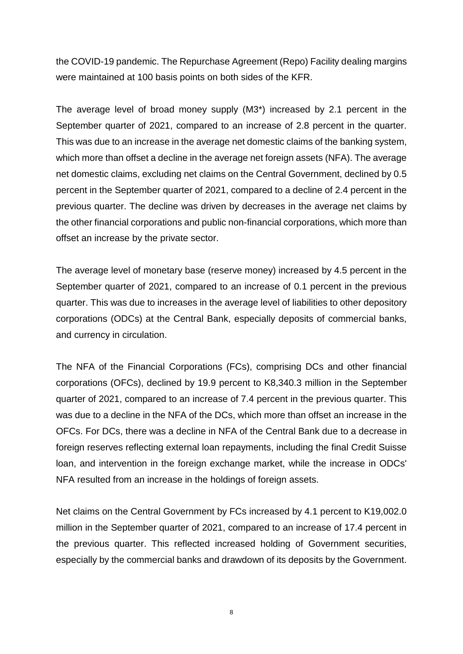the COVID-19 pandemic. The Repurchase Agreement (Repo) Facility dealing margins were maintained at 100 basis points on both sides of the KFR.

The average level of broad money supply (M3\*) increased by 2.1 percent in the September quarter of 2021, compared to an increase of 2.8 percent in the quarter. This was due to an increase in the average net domestic claims of the banking system, which more than offset a decline in the average net foreign assets (NFA). The average net domestic claims, excluding net claims on the Central Government, declined by 0.5 percent in the September quarter of 2021, compared to a decline of 2.4 percent in the previous quarter. The decline was driven by decreases in the average net claims by the other financial corporations and public non-financial corporations, which more than offset an increase by the private sector.

The average level of monetary base (reserve money) increased by 4.5 percent in the September quarter of 2021, compared to an increase of 0.1 percent in the previous quarter. This was due to increases in the average level of liabilities to other depository corporations (ODCs) at the Central Bank, especially deposits of commercial banks, and currency in circulation.

The NFA of the Financial Corporations (FCs), comprising DCs and other financial corporations (OFCs), declined by 19.9 percent to K8,340.3 million in the September quarter of 2021, compared to an increase of 7.4 percent in the previous quarter. This was due to a decline in the NFA of the DCs, which more than offset an increase in the OFCs. For DCs, there was a decline in NFA of the Central Bank due to a decrease in foreign reserves reflecting external loan repayments, including the final Credit Suisse loan, and intervention in the foreign exchange market, while the increase in ODCs' NFA resulted from an increase in the holdings of foreign assets.

Net claims on the Central Government by FCs increased by 4.1 percent to K19,002.0 million in the September quarter of 2021, compared to an increase of 17.4 percent in the previous quarter. This reflected increased holding of Government securities, especially by the commercial banks and drawdown of its deposits by the Government.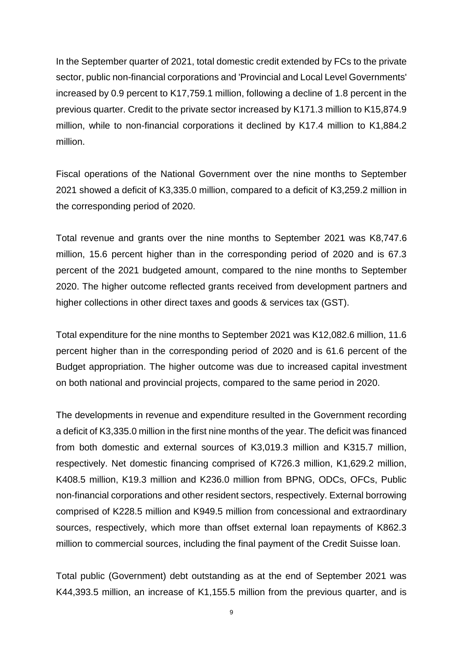In the September quarter of 2021, total domestic credit extended by FCs to the private sector, public non-financial corporations and 'Provincial and Local Level Governments' increased by 0.9 percent to K17,759.1 million, following a decline of 1.8 percent in the previous quarter. Credit to the private sector increased by K171.3 million to K15,874.9 million, while to non-financial corporations it declined by K17.4 million to K1,884.2 million.

Fiscal operations of the National Government over the nine months to September 2021 showed a deficit of K3,335.0 million, compared to a deficit of K3,259.2 million in the corresponding period of 2020.

Total revenue and grants over the nine months to September 2021 was K8,747.6 million, 15.6 percent higher than in the corresponding period of 2020 and is 67.3 percent of the 2021 budgeted amount, compared to the nine months to September 2020. The higher outcome reflected grants received from development partners and higher collections in other direct taxes and goods & services tax (GST).

Total expenditure for the nine months to September 2021 was K12,082.6 million, 11.6 percent higher than in the corresponding period of 2020 and is 61.6 percent of the Budget appropriation. The higher outcome was due to increased capital investment on both national and provincial projects, compared to the same period in 2020.

The developments in revenue and expenditure resulted in the Government recording a deficit of K3,335.0 million in the first nine months of the year. The deficit was financed from both domestic and external sources of K3,019.3 million and K315.7 million, respectively. Net domestic financing comprised of K726.3 million, K1,629.2 million, K408.5 million, K19.3 million and K236.0 million from BPNG, ODCs, OFCs, Public non-financial corporations and other resident sectors, respectively. External borrowing comprised of K228.5 million and K949.5 million from concessional and extraordinary sources, respectively, which more than offset external loan repayments of K862.3 million to commercial sources, including the final payment of the Credit Suisse loan.

Total public (Government) debt outstanding as at the end of September 2021 was K44,393.5 million, an increase of K1,155.5 million from the previous quarter, and is